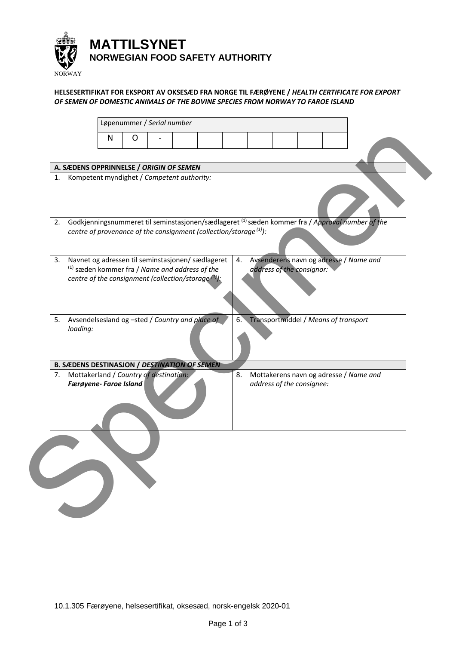

## **HELSESERTIFIKAT FOR EKSPORT AV OKSESÆD FRA NORGE TIL FÆRØYENE /** *HEALTH CERTIFICATE FOR EXPORT OF SEMEN OF DOMESTIC ANIMALS OF THE BOVINE SPECIES FROM NORWAY TO FAROE ISLAND*

| A. SÆDENS OPPRINNELSE / ORIGIN OF SEMEN<br>Kompetent myndighet / Competent authority:<br>1.<br>Godkjenningsnummeret til seminstasjonen/sædlageret (1) sæden kommer fra / Approval number of the<br>2.                                            | N | O |  |    |                           |                                      |                                        |  |
|--------------------------------------------------------------------------------------------------------------------------------------------------------------------------------------------------------------------------------------------------|---|---|--|----|---------------------------|--------------------------------------|----------------------------------------|--|
| centre of provenance of the consignment (collection/storage $(1)$ ):<br>Navnet og adressen til seminstasjonen/ sædlageret<br>3.<br>$^{(1)}$ sæden kommer fra / Name and address of the<br>centre of the consignment (collection/storage $(1)$ ): |   |   |  | 4. | address of the consignor: |                                      | Avsenderens navn og adresse / Name and |  |
| Avsendelsesland og -sted / Country and place of<br>5.<br>loading:<br><b>B. SÆDENS DESTINASJON / DESTINATION OF SEMEN</b>                                                                                                                         |   |   |  | 6. |                           | Transportmiddel / Means of transport |                                        |  |
| Mottakerland / Country of destination:<br>7.<br>Færøyene- Faroe Island                                                                                                                                                                           |   |   |  | 8. | address of the consignee: |                                      | Mottakerens navn og adresse / Name and |  |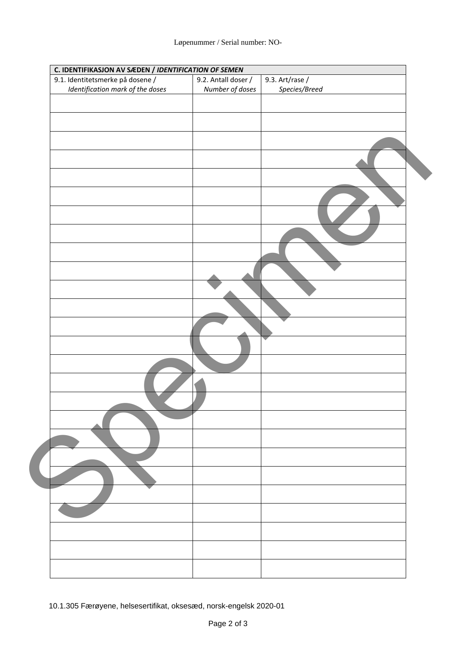| C. IDENTIFIKASJON AV SÆDEN / IDENTIFICATION OF SEMEN |                     |                 |
|------------------------------------------------------|---------------------|-----------------|
| 9.1. Identitetsmerke på dosene /                     | 9.2. Antall doser / | 9.3. Art/rase / |
| Identification mark of the doses                     | Number of doses     | Species/Breed   |
|                                                      |                     |                 |
|                                                      |                     |                 |
|                                                      |                     |                 |
|                                                      |                     |                 |
|                                                      |                     |                 |
|                                                      |                     |                 |
|                                                      |                     |                 |
|                                                      |                     |                 |
|                                                      |                     |                 |
|                                                      |                     |                 |
|                                                      |                     |                 |
|                                                      |                     |                 |
|                                                      |                     |                 |
|                                                      |                     |                 |
|                                                      |                     |                 |
|                                                      |                     |                 |
|                                                      |                     |                 |
|                                                      |                     |                 |
|                                                      |                     |                 |
|                                                      |                     |                 |
|                                                      |                     |                 |
|                                                      |                     |                 |
|                                                      |                     |                 |
|                                                      |                     |                 |
|                                                      |                     |                 |
|                                                      |                     |                 |
|                                                      |                     |                 |
|                                                      |                     |                 |
|                                                      |                     |                 |
|                                                      |                     |                 |
|                                                      |                     |                 |
|                                                      |                     |                 |
|                                                      |                     |                 |
|                                                      |                     |                 |
|                                                      |                     |                 |
|                                                      |                     |                 |
|                                                      |                     |                 |
|                                                      |                     |                 |
|                                                      |                     |                 |
|                                                      |                     |                 |
|                                                      |                     |                 |
|                                                      |                     |                 |
|                                                      |                     |                 |
|                                                      |                     |                 |
|                                                      |                     |                 |
|                                                      |                     |                 |
|                                                      |                     |                 |
|                                                      |                     |                 |